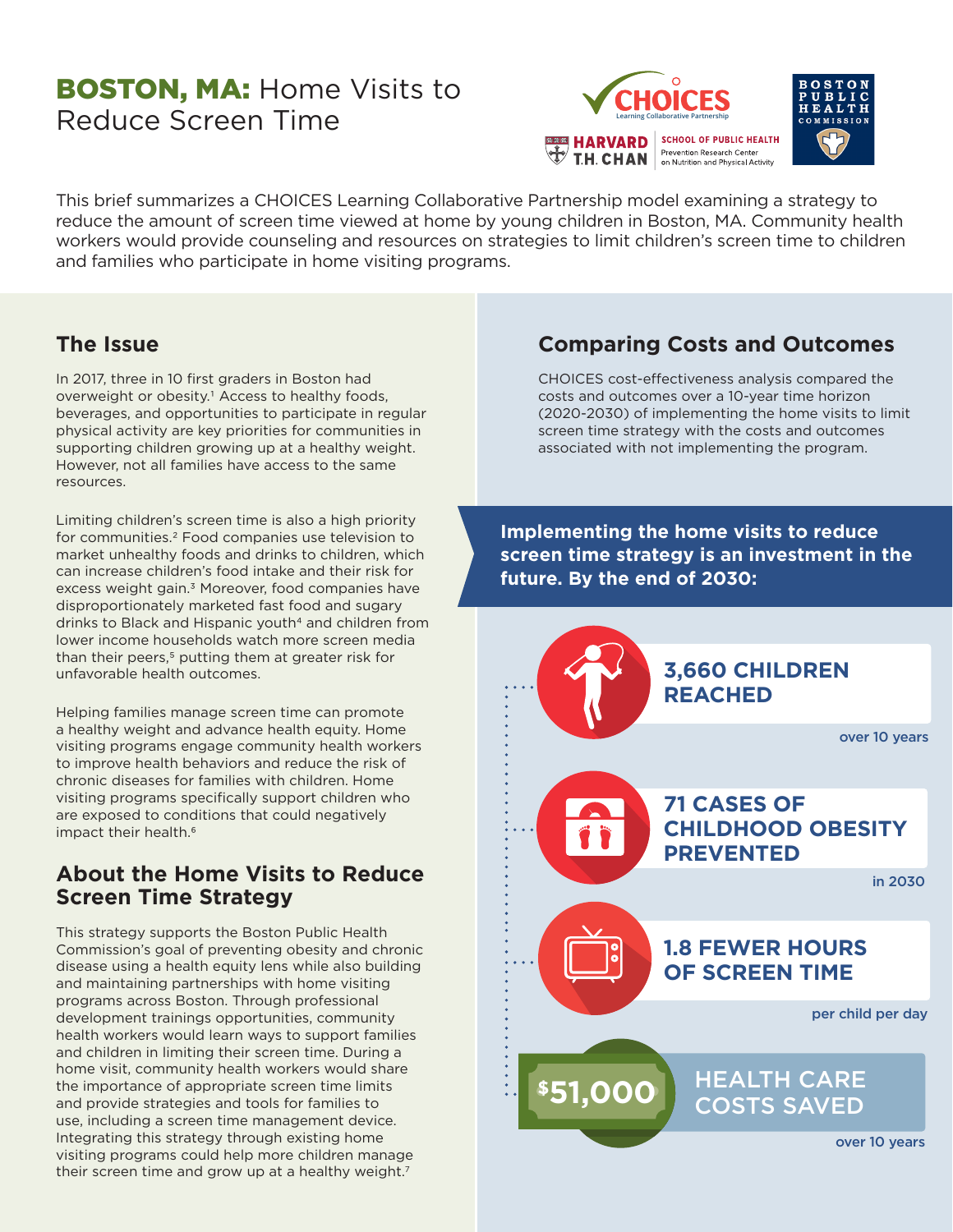# **BOSTON, MA: Home Visits to** Reduce Screen Time



This brief summarizes a CHOICES Learning Collaborative Partnership model examining a strategy to reduce the amount of screen time viewed at home by young children in Boston, MA. Community health workers would provide counseling and resources on strategies to limit children's screen time to children and families who participate in home visiting programs.

### **The Issue**

In 2017, three in 10 first graders in Boston had overweight or obesity.<sup>1</sup> Access to healthy foods, beverages, and opportunities to participate in regular physical activity are key priorities for communities in supporting children growing up at a healthy weight. However, not all families have access to the same resources.

Limiting children's screen time is also a high priority for communities.2 Food companies use television to market unhealthy foods and drinks to children, which can increase children's food intake and their risk for excess weight gain.<sup>3</sup> Moreover, food companies have disproportionately marketed fast food and sugary drinks to Black and Hispanic youth<sup>4</sup> and children from lower income households watch more screen media than their peers,<sup>5</sup> putting them at greater risk for unfavorable health outcomes.

Helping families manage screen time can promote a healthy weight and advance health equity. Home visiting programs engage community health workers to improve health behaviors and reduce the risk of chronic diseases for families with children. Home visiting programs specifically support children who are exposed to conditions that could negatively impact their health.<sup>6</sup>

#### **About the Home Visits to Reduce Screen Time Strategy**

This strategy supports the Boston Public Health Commission's goal of preventing obesity and chronic disease using a health equity lens while also building and maintaining partnerships with home visiting programs across Boston. Through professional development trainings opportunities, community health workers would learn ways to support families and children in limiting their screen time. During a home visit, community health workers would share the importance of appropriate screen time limits and provide strategies and tools for families to use, including a screen time management device. Integrating this strategy through existing home visiting programs could help more children manage their screen time and grow up at a healthy weight.<sup>7</sup>

## **Comparing Costs and Outcomes**

CHOICES cost-effectiveness analysis compared the costs and outcomes over a 10-year time horizon (2020-2030) of implementing the home visits to limit screen time strategy with the costs and outcomes associated with not implementing the program.

**Implementing the home visits to reduce screen time strategy is an investment in the future. By the end of 2030:**